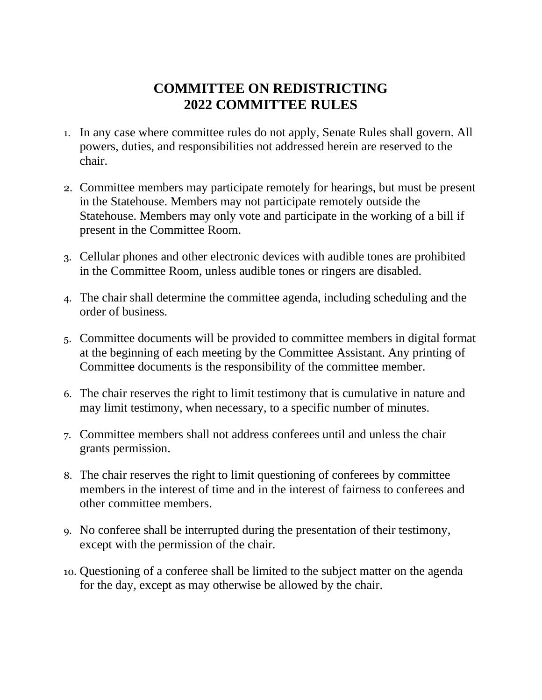## **COMMITTEE ON REDISTRICTING 2022 COMMITTEE RULES**

- 1. In any case where committee rules do not apply, Senate Rules shall govern. All powers, duties, and responsibilities not addressed herein are reserved to the chair.
- 2. Committee members may participate remotely for hearings, but must be present in the Statehouse. Members may not participate remotely outside the Statehouse. Members may only vote and participate in the working of a bill if present in the Committee Room.
- 3. Cellular phones and other electronic devices with audible tones are prohibited in the Committee Room, unless audible tones or ringers are disabled.
- 4. The chair shall determine the committee agenda, including scheduling and the order of business.
- 5. Committee documents will be provided to committee members in digital format at the beginning of each meeting by the Committee Assistant. Any printing of Committee documents is the responsibility of the committee member.
- 6. The chair reserves the right to limit testimony that is cumulative in nature and may limit testimony, when necessary, to a specific number of minutes.
- 7. Committee members shall not address conferees until and unless the chair grants permission.
- 8. The chair reserves the right to limit questioning of conferees by committee members in the interest of time and in the interest of fairness to conferees and other committee members.
- 9. No conferee shall be interrupted during the presentation of their testimony, except with the permission of the chair.
- 10. Questioning of a conferee shall be limited to the subject matter on the agenda for the day, except as may otherwise be allowed by the chair.